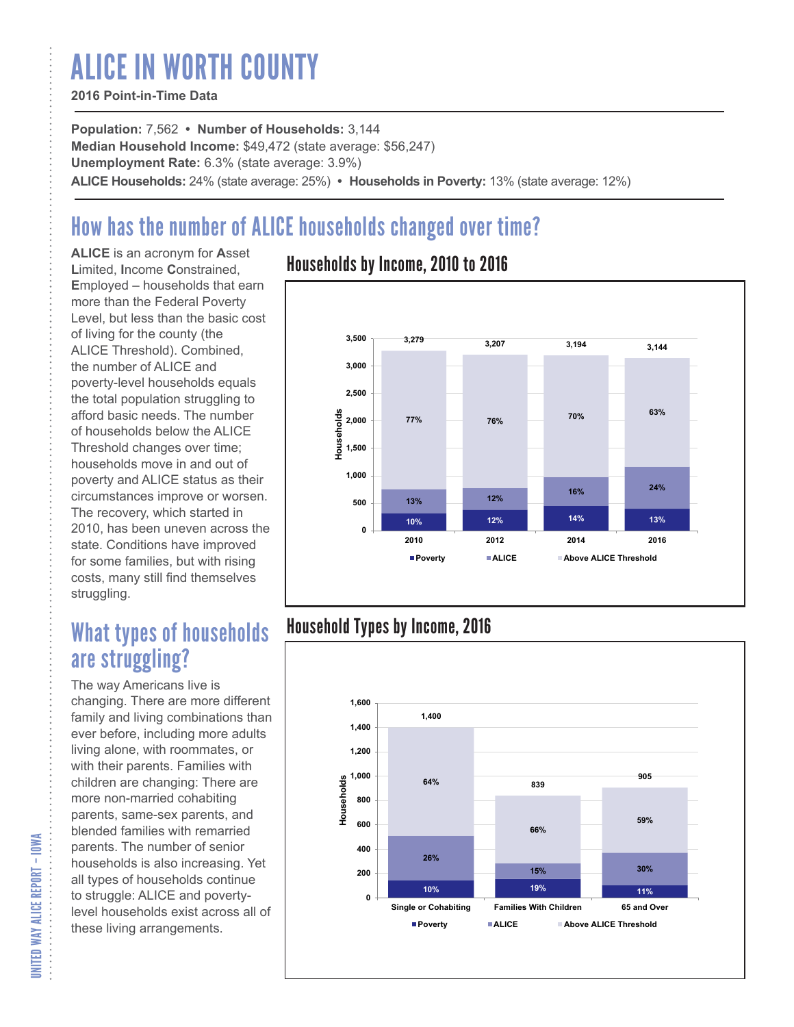# ALICE IN WORTH COUNTY

### **2016 Point-in-Time Data**

**Population:** 7,562 **• Number of Households:** 3,144 **Median Household Income:** \$49,472 (state average: \$56,247) **Unemployment Rate:** 6.3% (state average: 3.9%) **ALICE Households:** 24% (state average: 25%) **• Households in Poverty:** 13% (state average: 12%)

# How has the number of ALICE households changed over time?

**ALICE** is an acronym for **A**sset **L**imited, **I**ncome **C**onstrained, **E**mployed – households that earn more than the Federal Poverty Level, but less than the basic cost of living for the county (the ALICE Threshold). Combined, the number of ALICE and poverty-level households equals the total population struggling to afford basic needs. The number of households below the ALICE Threshold changes over time; households move in and out of poverty and ALICE status as their circumstances improve or worsen. The recovery, which started in 2010, has been uneven across the state. Conditions have improved for some families, but with rising costs, many still find themselves struggling.

## What types of households are struggling?

The way Americans live is changing. There are more different family and living combinations than ever before, including more adults living alone, with roommates, or with their parents. Families with children are changing: There are more non-married cohabiting parents, same-sex parents, and blended families with remarried parents. The number of senior households is also increasing. Yet all types of households continue to struggle: ALICE and povertylevel households exist across all of these living arrangements.

### Households by Income, 2010 to 2016



### Household Types by Income, 2016